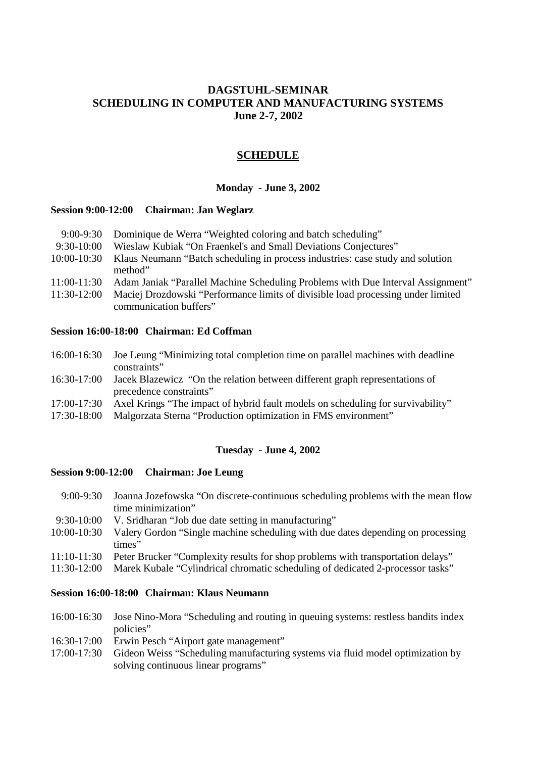## **DAGSTUHL-SEMINAR SCHEDULING IN COMPUTER AND MANUFACTURING SYSTEMS June 2-7, 2002**

## **SCHEDULE**

#### **Monday - June 3, 2002**

#### **Session 9:00-12:00 Chairman: Jan Weglarz**

- 9:30-10:00 Wieslaw Kubiak "On Fraenkel's and Small Deviations Conjectures"
- 10:00-10:30 Klaus Neumann "Batch scheduling in process industries: case study and solution method"
- 11:00-11:30 Adam Janiak "Parallel Machine Scheduling Problems with Due Interval Assignment"
- 11:30-12:00 Maciej Drozdowski "Performance limits of divisible load processing under limited communication buffers"

### **Session 16:00-18:00 Chairman: Ed Coffman**

- 16:00-16:30 Joe Leung "Minimizing total completion time on parallel machines with deadline constraints"
- 16:30-17:00 Jacek Blazewicz "On the relation between different graph representations of precedence constraints"
- 17:00-17:30 Axel Krings "The impact of hybrid fault models on scheduling for survivability"
- 17:30-18:00 Malgorzata Sterna "Production optimization in FMS environment"

## **Tuesday - June 4, 2002**

#### **Session 9:00-12:00 Chairman: Joe Leung**

- 9:00-9:30 Joanna Jozefowska "On discrete-continuous scheduling problems with the mean flow time minimization"
- 9:30-10:00 V. Sridharan "Job due date setting in manufacturing"
- 10:00-10:30 Valery Gordon "Single machine scheduling with due dates depending on processing times"
- 11:10-11:30 Peter Brucker "Complexity results for shop problems with transportation delays"
- 11:30-12:00 Marek Kubale "Cylindrical chromatic scheduling of dedicated 2-processor tasks"

#### **Session 16:00-18:00 Chairman: Klaus Neumann**

- 16:00-16:30 Jose Nino-Mora "Scheduling and routing in queuing systems: restless bandits index policies"
- 16:30-17:00 Erwin Pesch "Airport gate management"
- 17:00-17:30 Gideon Weiss "Scheduling manufacturing systems via fluid model optimization by solving continuous linear programs"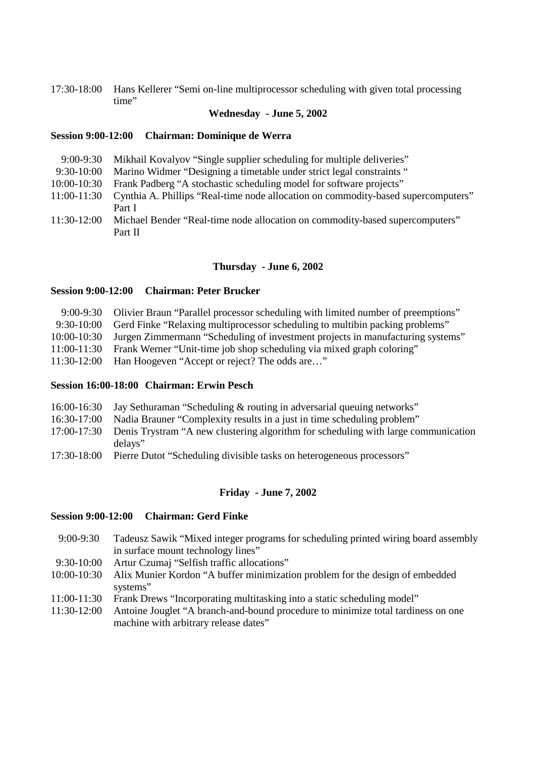17:30-18:00 Hans Kellerer "Semi on-line multiprocessor scheduling with given total processing time"

#### **Wednesday - June 5, 2002**

#### **Session 9:00-12:00 Chairman: Dominique de Werra**

- 9:00-9:30 Mikhail Kovalyov "Single supplier scheduling for multiple deliveries"
- 9:30-10:00 Marino Widmer "Designing a timetable under strict legal constraints "
- 10:00-10:30 Frank Padberg "A stochastic scheduling model for software projects"
- 11:00-11:30 Cynthia A. Phillips "Real-time node allocation on commodity-based supercomputers" Part I
- 11:30-12:00 Michael Bender "Real-time node allocation on commodity-based supercomputers" Part II

### **Thursday - June 6, 2002**

### **Session 9:00-12:00 Chairman: Peter Brucker**

|              | 9:00-9:30 Olivier Braun "Parallel processor scheduling with limited number of preemptions" |
|--------------|--------------------------------------------------------------------------------------------|
| $9:30-10:00$ | Gerd Finke "Relaxing multiprocessor scheduling to multibin packing problems"               |
| 10:00-10:30  | Jurgen Zimmermann "Scheduling of investment projects in manufacturing systems"             |
| 11:00-11:30  | Frank Werner "Unit-time job shop scheduling via mixed graph coloring"                      |
|              | 11:30-12:00 Han Hoogeven "Accept or reject? The odds are"                                  |

#### **Session 16:00-18:00 Chairman: Erwin Pesch**

|  |  | 16:00-16:30 Jay Sethuraman "Scheduling & routing in adversarial queuing networks" |
|--|--|-----------------------------------------------------------------------------------|
|  |  |                                                                                   |

- 16:30-17:00 Nadia Brauner "Complexity results in a just in time scheduling problem"
- 17:00-17:30 Denis Trystram "A new clustering algorithm for scheduling with large communication delays"
- 17:30-18:00 Pierre Dutot "Scheduling divisible tasks on heterogeneous processors"

#### **Friday - June 7, 2002**

#### **Session 9:00-12:00 Chairman: Gerd Finke**

- 9:00-9:30 Tadeusz Sawik "Mixed integer programs for scheduling printed wiring board assembly in surface mount technology lines"
- 9:30-10:00 Artur Czumaj "Selfish traffic allocations"
- 10:00-10:30 Alix Munier Kordon "A buffer minimization problem for the design of embedded systems"
- 11:00-11:30 Frank Drews "Incorporating multitasking into a static scheduling model"
- 11:30-12:00 Antoine Jouglet "A branch-and-bound procedure to minimize total tardiness on one machine with arbitrary release dates"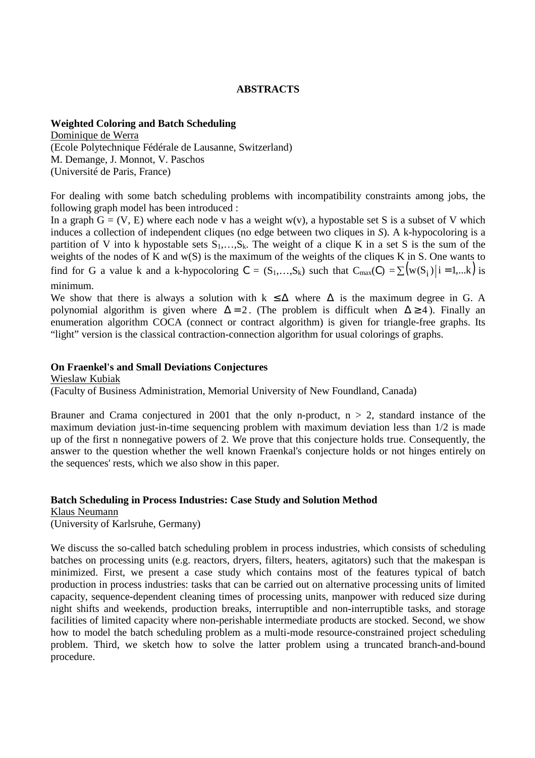## **ABSTRACTS**

### **Weighted Coloring and Batch Scheduling**

Dominique de Werra (Ecole Polytechnique Fédérale de Lausanne, Switzerland) M. Demange, J. Monnot, V. Paschos (Université de Paris, France)

For dealing with some batch scheduling problems with incompatibility constraints among jobs, the following graph model has been introduced :

In a graph  $G = (V, E)$  where each node v has a weight w(v), a hypostable set S is a subset of V which induces a collection of independent cliques (no edge between two cliques in *S*). A k-hypocoloring is a partition of V into k hypostable sets  $S_1, \ldots, S_k$ . The weight of a clique K in a set S is the sum of the weights of the nodes of K and w(S) is the maximum of the weights of the cliques K in S. One wants to find for G a value k and a k-hypocoloring  $C = (S_1, ..., S_k)$  such that  $C_{max}(C) = \sum (w(S_i) | i = 1,...k)$  is minimum.

We show that there is always a solution with  $k \leq \Delta$  where  $\Delta$  is the maximum degree in G. A polynomial algorithm is given where  $\Delta = 2$ . (The problem is difficult when  $\Delta \ge 4$ ). Finally an enumeration algorithm COCA (connect or contract algorithm) is given for triangle-free graphs. Its "light" version is the classical contraction-connection algorithm for usual colorings of graphs.

### **On Fraenkel's and Small Deviations Conjectures**

Wieslaw Kubiak (Faculty of Business Administration, Memorial University of New Foundland, Canada)

Brauner and Crama conjectured in 2001 that the only n-product,  $n > 2$ , standard instance of the maximum deviation just-in-time sequencing problem with maximum deviation less than 1/2 is made up of the first n nonnegative powers of 2. We prove that this conjecture holds true. Consequently, the answer to the question whether the well known Fraenkal's conjecture holds or not hinges entirely on the sequences' rests, which we also show in this paper.

#### **Batch Scheduling in Process Industries: Case Study and Solution Method**

Klaus Neumann

(University of Karlsruhe, Germany)

We discuss the so-called batch scheduling problem in process industries, which consists of scheduling batches on processing units (e.g. reactors, dryers, filters, heaters, agitators) such that the makespan is minimized. First, we present a case study which contains most of the features typical of batch production in process industries: tasks that can be carried out on alternative processing units of limited capacity, sequence-dependent cleaning times of processing units, manpower with reduced size during night shifts and weekends, production breaks, interruptible and non-interruptible tasks, and storage facilities of limited capacity where non-perishable intermediate products are stocked. Second, we show how to model the batch scheduling problem as a multi-mode resource-constrained project scheduling problem. Third, we sketch how to solve the latter problem using a truncated branch-and-bound procedure.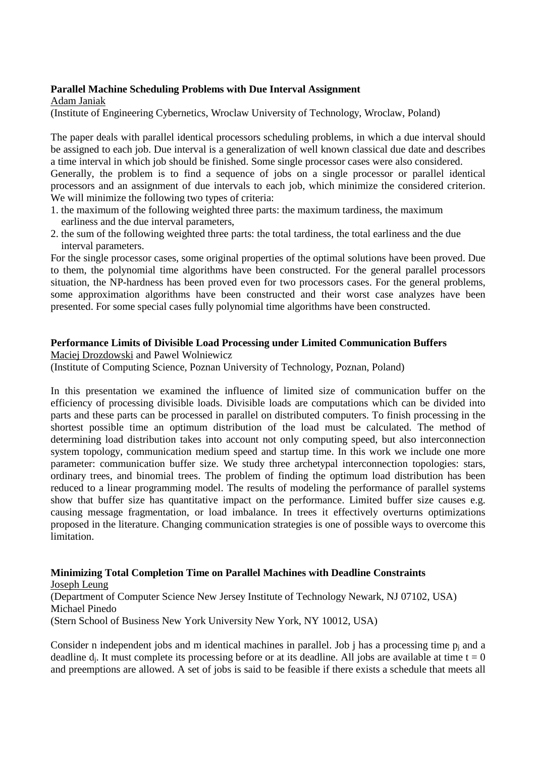## **Parallel Machine Scheduling Problems with Due Interval Assignment**

Adam Janiak

(Institute of Engineering Cybernetics, Wroclaw University of Technology, Wroclaw, Poland)

The paper deals with parallel identical processors scheduling problems, in which a due interval should be assigned to each job. Due interval is a generalization of well known classical due date and describes a time interval in which job should be finished. Some single processor cases were also considered. Generally, the problem is to find a sequence of jobs on a single processor or parallel identical processors and an assignment of due intervals to each job, which minimize the considered criterion. We will minimize the following two types of criteria:

- 1. the maximum of the following weighted three parts: the maximum tardiness, the maximum earliness and the due interval parameters,
- 2. the sum of the following weighted three parts: the total tardiness, the total earliness and the due interval parameters.

For the single processor cases, some original properties of the optimal solutions have been proved. Due to them, the polynomial time algorithms have been constructed. For the general parallel processors situation, the NP-hardness has been proved even for two processors cases. For the general problems, some approximation algorithms have been constructed and their worst case analyzes have been presented. For some special cases fully polynomial time algorithms have been constructed.

## **Performance Limits of Divisible Load Processing under Limited Communication Buffers**

Maciej Drozdowski and Pawel Wolniewicz

(Institute of Computing Science, Poznan University of Technology, Poznan, Poland)

In this presentation we examined the influence of limited size of communication buffer on the efficiency of processing divisible loads. Divisible loads are computations which can be divided into parts and these parts can be processed in parallel on distributed computers. To finish processing in the shortest possible time an optimum distribution of the load must be calculated. The method of determining load distribution takes into account not only computing speed, but also interconnection system topology, communication medium speed and startup time. In this work we include one more parameter: communication buffer size. We study three archetypal interconnection topologies: stars, ordinary trees, and binomial trees. The problem of finding the optimum load distribution has been reduced to a linear programming model. The results of modeling the performance of parallel systems show that buffer size has quantitative impact on the performance. Limited buffer size causes e.g. causing message fragmentation, or load imbalance. In trees it effectively overturns optimizations proposed in the literature. Changing communication strategies is one of possible ways to overcome this limitation.

#### **Minimizing Total Completion Time on Parallel Machines with Deadline Constraints** Joseph Leung

(Department of Computer Science New Jersey Institute of Technology Newark, NJ 07102, USA) Michael Pinedo (Stern School of Business New York University New York, NY 10012, USA)

Consider n independent jobs and m identical machines in parallel. Job j has a processing time  $p_i$  and a deadline  $d_i$ . It must complete its processing before or at its deadline. All jobs are available at time  $t = 0$ and preemptions are allowed. A set of jobs is said to be feasible if there exists a schedule that meets all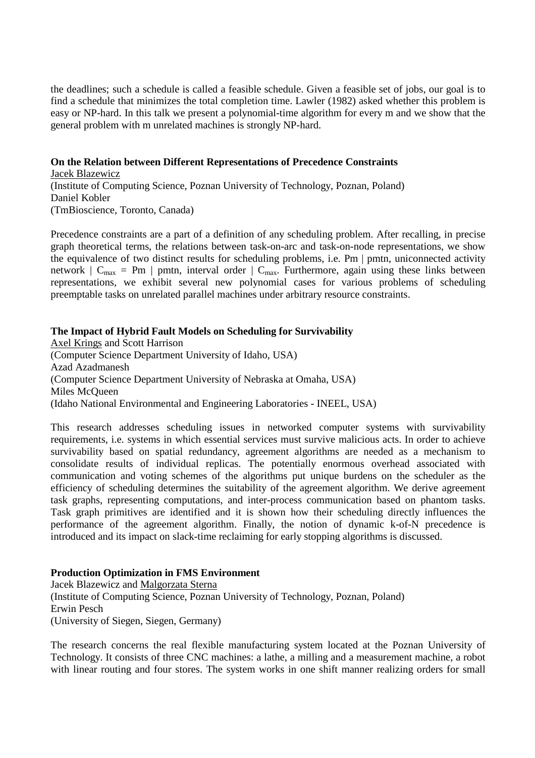the deadlines; such a schedule is called a feasible schedule. Given a feasible set of jobs, our goal is to find a schedule that minimizes the total completion time. Lawler (1982) asked whether this problem is easy or NP-hard. In this talk we present a polynomial-time algorithm for every m and we show that the general problem with m unrelated machines is strongly NP-hard.

## **On the Relation between Different Representations of Precedence Constraints**

Jacek Blazewicz (Institute of Computing Science, Poznan University of Technology, Poznan, Poland) Daniel Kobler (TmBioscience, Toronto, Canada)

Precedence constraints are a part of a definition of any scheduling problem. After recalling, in precise graph theoretical terms, the relations between task-on-arc and task-on-node representations, we show the equivalence of two distinct results for scheduling problems, i.e. Pm | pmtn, uniconnected activity network  $| C_{\text{max}} = Pm |$  pmtn, interval order  $| C_{\text{max}}$ . Furthermore, again using these links between representations, we exhibit several new polynomial cases for various problems of scheduling preemptable tasks on unrelated parallel machines under arbitrary resource constraints.

### **The Impact of Hybrid Fault Models on Scheduling for Survivability**

Axel Krings and Scott Harrison (Computer Science Department University of Idaho, USA) Azad Azadmanesh (Computer Science Department University of Nebraska at Omaha, USA) Miles McQueen (Idaho National Environmental and Engineering Laboratories - INEEL, USA)

This research addresses scheduling issues in networked computer systems with survivability requirements, i.e. systems in which essential services must survive malicious acts. In order to achieve survivability based on spatial redundancy, agreement algorithms are needed as a mechanism to consolidate results of individual replicas. The potentially enormous overhead associated with communication and voting schemes of the algorithms put unique burdens on the scheduler as the efficiency of scheduling determines the suitability of the agreement algorithm. We derive agreement task graphs, representing computations, and inter-process communication based on phantom tasks. Task graph primitives are identified and it is shown how their scheduling directly influences the performance of the agreement algorithm. Finally, the notion of dynamic k-of-N precedence is introduced and its impact on slack-time reclaiming for early stopping algorithms is discussed.

## **Production Optimization in FMS Environment**

Jacek Blazewicz and Malgorzata Sterna (Institute of Computing Science, Poznan University of Technology, Poznan, Poland) Erwin Pesch (University of Siegen, Siegen, Germany)

The research concerns the real flexible manufacturing system located at the Poznan University of Technology. It consists of three CNC machines: a lathe, a milling and a measurement machine, a robot with linear routing and four stores. The system works in one shift manner realizing orders for small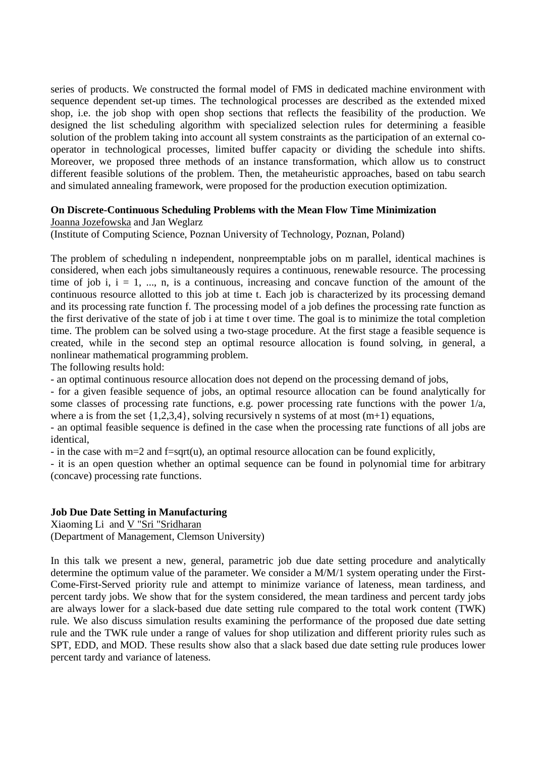series of products. We constructed the formal model of FMS in dedicated machine environment with sequence dependent set-up times. The technological processes are described as the extended mixed shop, i.e. the job shop with open shop sections that reflects the feasibility of the production. We designed the list scheduling algorithm with specialized selection rules for determining a feasible solution of the problem taking into account all system constraints as the participation of an external cooperator in technological processes, limited buffer capacity or dividing the schedule into shifts. Moreover, we proposed three methods of an instance transformation, which allow us to construct different feasible solutions of the problem. Then, the metaheuristic approaches, based on tabu search and simulated annealing framework, were proposed for the production execution optimization.

## **On Discrete-Continuous Scheduling Problems with the Mean Flow Time Minimization**

Joanna Jozefowska and Jan Weglarz

(Institute of Computing Science, Poznan University of Technology, Poznan, Poland)

The problem of scheduling n independent, nonpreemptable jobs on m parallel, identical machines is considered, when each jobs simultaneously requires a continuous, renewable resource. The processing time of job i,  $i = 1, \dots, n$ , is a continuous, increasing and concave function of the amount of the continuous resource allotted to this job at time t. Each job is characterized by its processing demand and its processing rate function f. The processing model of a job defines the processing rate function as the first derivative of the state of job i at time t over time. The goal is to minimize the total completion time. The problem can be solved using a two-stage procedure. At the first stage a feasible sequence is created, while in the second step an optimal resource allocation is found solving, in general, a nonlinear mathematical programming problem.

The following results hold:

- an optimal continuous resource allocation does not depend on the processing demand of jobs,

- for a given feasible sequence of jobs, an optimal resource allocation can be found analytically for some classes of processing rate functions, e.g. power processing rate functions with the power 1/a, where a is from the set  $\{1,2,3,4\}$ , solving recursively n systems of at most  $(m+1)$  equations,

- an optimal feasible sequence is defined in the case when the processing rate functions of all jobs are identical,

- in the case with  $m=2$  and f=sqrt(u), an optimal resource allocation can be found explicitly.

- it is an open question whether an optimal sequence can be found in polynomial time for arbitrary (concave) processing rate functions.

## **Job Due Date Setting in Manufacturing**

Xiaoming Li and V "Sri "Sridharan (Department of Management, Clemson University)

In this talk we present a new, general, parametric job due date setting procedure and analytically determine the optimum value of the parameter. We consider a M/M/1 system operating under the First-Come-First-Served priority rule and attempt to minimize variance of lateness, mean tardiness, and percent tardy jobs. We show that for the system considered, the mean tardiness and percent tardy jobs are always lower for a slack-based due date setting rule compared to the total work content (TWK) rule. We also discuss simulation results examining the performance of the proposed due date setting rule and the TWK rule under a range of values for shop utilization and different priority rules such as SPT, EDD, and MOD. These results show also that a slack based due date setting rule produces lower percent tardy and variance of lateness.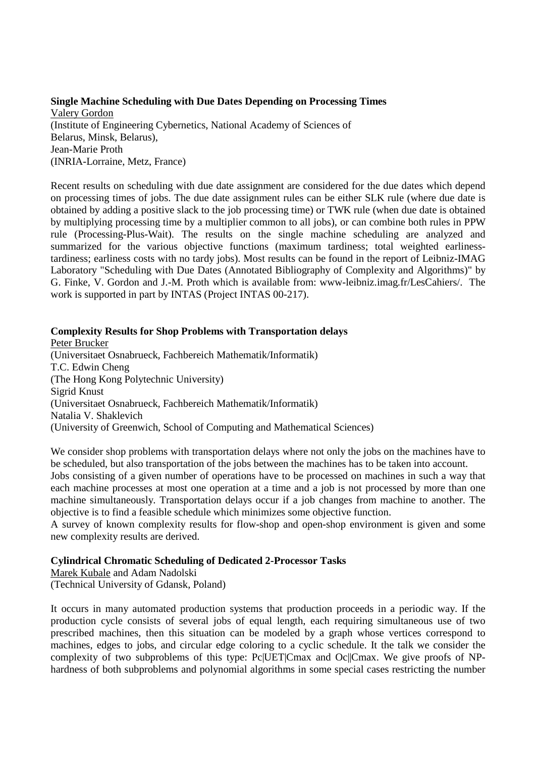### **Single Machine Scheduling with Due Dates Depending on Processing Times** Valery Gordon (Institute of Engineering Cybernetics, National Academy of Sciences of Belarus, Minsk, Belarus), Jean-Marie Proth (INRIA-Lorraine, Metz, France)

Recent results on scheduling with due date assignment are considered for the due dates which depend on processing times of jobs. The due date assignment rules can be either SLK rule (where due date is obtained by adding a positive slack to the job processing time) or TWK rule (when due date is obtained by multiplying processing time by a multiplier common to all jobs), or can combine both rules in PPW rule (Processing-Plus-Wait). The results on the single machine scheduling are analyzed and summarized for the various objective functions (maximum tardiness; total weighted earlinesstardiness; earliness costs with no tardy jobs). Most results can be found in the report of Leibniz-IMAG Laboratory "Scheduling with Due Dates (Annotated Bibliography of Complexity and Algorithms)" by G. Finke, V. Gordon and J.-M. Proth which is available from: www-leibniz.imag.fr/LesCahiers/. The work is supported in part by INTAS (Project INTAS 00-217).

## **Complexity Results for Shop Problems with Transportation delays**

Peter Brucker (Universitaet Osnabrueck, Fachbereich Mathematik/Informatik) T.C. Edwin Cheng (The Hong Kong Polytechnic University) Sigrid Knust (Universitaet Osnabrueck, Fachbereich Mathematik/Informatik) Natalia V. Shaklevich (University of Greenwich, School of Computing and Mathematical Sciences)

We consider shop problems with transportation delays where not only the jobs on the machines have to be scheduled, but also transportation of the jobs between the machines has to be taken into account.

Jobs consisting of a given number of operations have to be processed on machines in such a way that each machine processes at most one operation at a time and a job is not processed by more than one machine simultaneously. Transportation delays occur if a job changes from machine to another. The objective is to find a feasible schedule which minimizes some objective function.

A survey of known complexity results for flow-shop and open-shop environment is given and some new complexity results are derived.

## **Cylindrical Chromatic Scheduling of Dedicated 2-Processor Tasks**

Marek Kubale and Adam Nadolski (Technical University of Gdansk, Poland)

It occurs in many automated production systems that production proceeds in a periodic way. If the production cycle consists of several jobs of equal length, each requiring simultaneous use of two prescribed machines, then this situation can be modeled by a graph whose vertices correspond to machines, edges to jobs, and circular edge coloring to a cyclic schedule. It the talk we consider the complexity of two subproblems of this type: Pc|UET|Cmax and Oc||Cmax. We give proofs of NPhardness of both subproblems and polynomial algorithms in some special cases restricting the number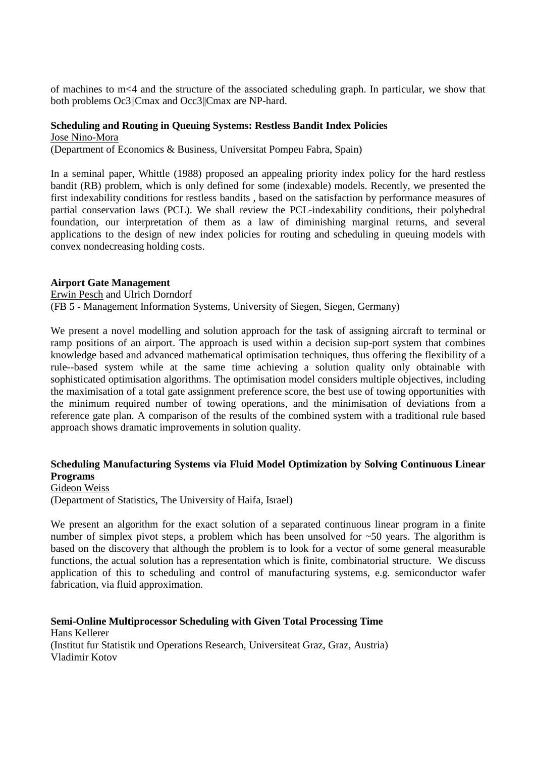of machines to m<4 and the structure of the associated scheduling graph. In particular, we show that both problems Oc3||Cmax and Occ3||Cmax are NP-hard.

# **Scheduling and Routing in Queuing Systems: Restless Bandit Index Policies**

Jose Nino-Mora

(Department of Economics & Business, Universitat Pompeu Fabra, Spain)

In a seminal paper, Whittle (1988) proposed an appealing priority index policy for the hard restless bandit (RB) problem, which is only defined for some (indexable) models. Recently, we presented the first indexability conditions for restless bandits , based on the satisfaction by performance measures of partial conservation laws (PCL). We shall review the PCL-indexability conditions, their polyhedral foundation, our interpretation of them as a law of diminishing marginal returns, and several applications to the design of new index policies for routing and scheduling in queuing models with convex nondecreasing holding costs.

## **Airport Gate Management**

Erwin Pesch and Ulrich Dorndorf (FB 5 - Management Information Systems, University of Siegen, Siegen, Germany)

We present a novel modelling and solution approach for the task of assigning aircraft to terminal or ramp positions of an airport. The approach is used within a decision sup-port system that combines knowledge based and advanced mathematical optimisation techniques, thus offering the flexibility of a rule--based system while at the same time achieving a solution quality only obtainable with sophisticated optimisation algorithms. The optimisation model considers multiple objectives, including the maximisation of a total gate assignment preference score, the best use of towing opportunities with the minimum required number of towing operations, and the minimisation of deviations from a reference gate plan. A comparison of the results of the combined system with a traditional rule based approach shows dramatic improvements in solution quality.

## **Scheduling Manufacturing Systems via Fluid Model Optimization by Solving Continuous Linear Programs**

Gideon Weiss (Department of Statistics, The University of Haifa, Israel)

We present an algorithm for the exact solution of a separated continuous linear program in a finite number of simplex pivot steps, a problem which has been unsolved for ~50 years. The algorithm is based on the discovery that although the problem is to look for a vector of some general measurable functions, the actual solution has a representation which is finite, combinatorial structure. We discuss application of this to scheduling and control of manufacturing systems, e.g. semiconductor wafer fabrication, via fluid approximation.

**Semi-Online Multiprocessor Scheduling with Given Total Processing Time** Hans Kellerer (Institut fur Statistik und Operations Research, Universiteat Graz, Graz, Austria) Vladimir Kotov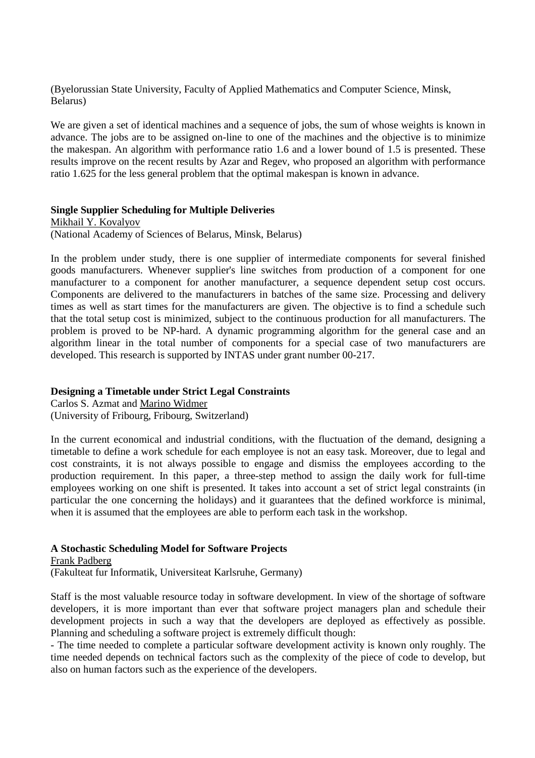(Byelorussian State University, Faculty of Applied Mathematics and Computer Science, Minsk, Belarus)

We are given a set of identical machines and a sequence of jobs, the sum of whose weights is known in advance. The jobs are to be assigned on-line to one of the machines and the objective is to minimize the makespan. An algorithm with performance ratio 1.6 and a lower bound of 1.5 is presented. These results improve on the recent results by Azar and Regev, who proposed an algorithm with performance ratio 1.625 for the less general problem that the optimal makespan is known in advance.

#### **Single Supplier Scheduling for Multiple Deliveries**

Mikhail Y. Kovalyov (National Academy of Sciences of Belarus, Minsk, Belarus)

In the problem under study, there is one supplier of intermediate components for several finished goods manufacturers. Whenever supplier's line switches from production of a component for one manufacturer to a component for another manufacturer, a sequence dependent setup cost occurs. Components are delivered to the manufacturers in batches of the same size. Processing and delivery times as well as start times for the manufacturers are given. The objective is to find a schedule such that the total setup cost is minimized, subject to the continuous production for all manufacturers. The problem is proved to be NP-hard. A dynamic programming algorithm for the general case and an algorithm linear in the total number of components for a special case of two manufacturers are developed. This research is supported by INTAS under grant number 00-217.

## **Designing a Timetable under Strict Legal Constraints**

Carlos S. Azmat and Marino Widmer (University of Fribourg, Fribourg, Switzerland)

In the current economical and industrial conditions, with the fluctuation of the demand, designing a timetable to define a work schedule for each employee is not an easy task. Moreover, due to legal and cost constraints, it is not always possible to engage and dismiss the employees according to the production requirement. In this paper, a three-step method to assign the daily work for full-time employees working on one shift is presented. It takes into account a set of strict legal constraints (in particular the one concerning the holidays) and it guarantees that the defined workforce is minimal, when it is assumed that the employees are able to perform each task in the workshop.

## **A Stochastic Scheduling Model for Software Projects**

Frank Padberg (Fakulteat fur Informatik, Universiteat Karlsruhe, Germany)

Staff is the most valuable resource today in software development. In view of the shortage of software developers, it is more important than ever that software project managers plan and schedule their development projects in such a way that the developers are deployed as effectively as possible. Planning and scheduling a software project is extremely difficult though:

- The time needed to complete a particular software development activity is known only roughly. The time needed depends on technical factors such as the complexity of the piece of code to develop, but also on human factors such as the experience of the developers.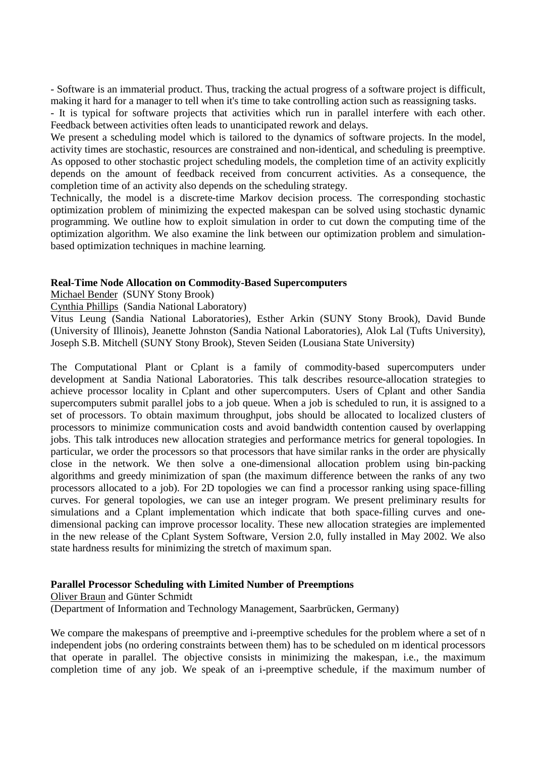- Software is an immaterial product. Thus, tracking the actual progress of a software project is difficult, making it hard for a manager to tell when it's time to take controlling action such as reassigning tasks.

- It is typical for software projects that activities which run in parallel interfere with each other. Feedback between activities often leads to unanticipated rework and delays.

We present a scheduling model which is tailored to the dynamics of software projects. In the model, activity times are stochastic, resources are constrained and non-identical, and scheduling is preemptive. As opposed to other stochastic project scheduling models, the completion time of an activity explicitly depends on the amount of feedback received from concurrent activities. As a consequence, the completion time of an activity also depends on the scheduling strategy.

Technically, the model is a discrete-time Markov decision process. The corresponding stochastic optimization problem of minimizing the expected makespan can be solved using stochastic dynamic programming. We outline how to exploit simulation in order to cut down the computing time of the optimization algorithm. We also examine the link between our optimization problem and simulationbased optimization techniques in machine learning.

### **Real-Time Node Allocation on Commodity-Based Supercomputers**

Michael Bender (SUNY Stony Brook)

Cynthia Phillips (Sandia National Laboratory)

Vitus Leung (Sandia National Laboratories), Esther Arkin (SUNY Stony Brook), David Bunde (University of Illinois), Jeanette Johnston (Sandia National Laboratories), Alok Lal (Tufts University), Joseph S.B. Mitchell (SUNY Stony Brook), Steven Seiden (Lousiana State University)

The Computational Plant or Cplant is a family of commodity-based supercomputers under development at Sandia National Laboratories. This talk describes resource-allocation strategies to achieve processor locality in Cplant and other supercomputers. Users of Cplant and other Sandia supercomputers submit parallel jobs to a job queue. When a job is scheduled to run, it is assigned to a set of processors. To obtain maximum throughput, jobs should be allocated to localized clusters of processors to minimize communication costs and avoid bandwidth contention caused by overlapping jobs. This talk introduces new allocation strategies and performance metrics for general topologies. In particular, we order the processors so that processors that have similar ranks in the order are physically close in the network. We then solve a one-dimensional allocation problem using bin-packing algorithms and greedy minimization of span (the maximum difference between the ranks of any two processors allocated to a job). For 2D topologies we can find a processor ranking using space-filling curves. For general topologies, we can use an integer program. We present preliminary results for simulations and a Cplant implementation which indicate that both space-filling curves and onedimensional packing can improve processor locality. These new allocation strategies are implemented in the new release of the Cplant System Software, Version 2.0, fully installed in May 2002. We also state hardness results for minimizing the stretch of maximum span.

#### **Parallel Processor Scheduling with Limited Number of Preemptions**

#### Oliver Braun and Günter Schmidt

(Department of Information and Technology Management, Saarbrücken, Germany)

We compare the makespans of preemptive and i-preemptive schedules for the problem where a set of n independent jobs (no ordering constraints between them) has to be scheduled on m identical processors that operate in parallel. The objective consists in minimizing the makespan, i.e., the maximum completion time of any job. We speak of an i-preemptive schedule, if the maximum number of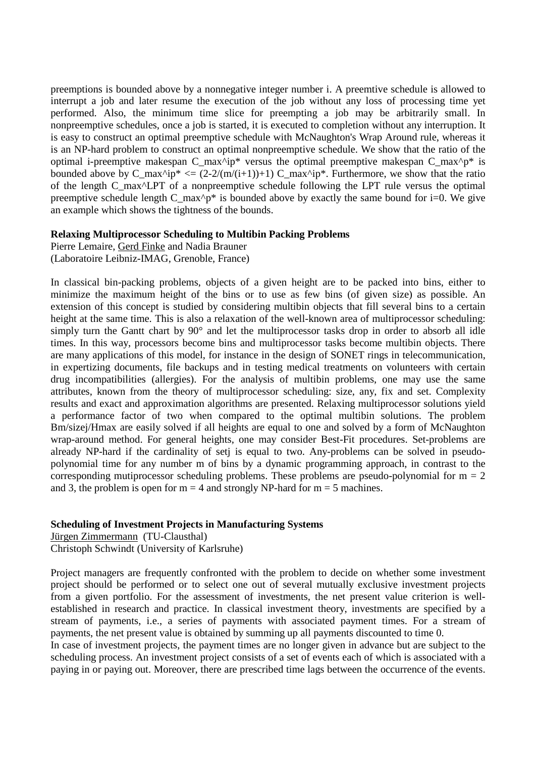preemptions is bounded above by a nonnegative integer number i. A preemtive schedule is allowed to interrupt a job and later resume the execution of the job without any loss of processing time yet performed. Also, the minimum time slice for preempting a job may be arbitrarily small. In nonpreemptive schedules, once a job is started, it is executed to completion without any interruption. It is easy to construct an optimal preemptive schedule with McNaughton's Wrap Around rule, whereas it is an NP-hard problem to construct an optimal nonpreemptive schedule. We show that the ratio of the optimal i-preemptive makespan C\_max^ip\* versus the optimal preemptive makespan C\_max^p\* is bounded above by C\_max^ip\*  $\langle = (2-2/(m/(i+1))+1) C$  max^ip\*. Furthermore, we show that the ratio of the length C\_max^LPT of a nonpreemptive schedule following the LPT rule versus the optimal preemptive schedule length  $C_{max}^*$  is bounded above by exactly the same bound for i=0. We give an example which shows the tightness of the bounds.

### **Relaxing Multiprocessor Scheduling to Multibin Packing Problems**

Pierre Lemaire, Gerd Finke and Nadia Brauner (Laboratoire Leibniz-IMAG, Grenoble, France)

In classical bin-packing problems, objects of a given height are to be packed into bins, either to minimize the maximum height of the bins or to use as few bins (of given size) as possible. An extension of this concept is studied by considering multibin objects that fill several bins to a certain height at the same time. This is also a relaxation of the well-known area of multiprocessor scheduling: simply turn the Gantt chart by 90° and let the multiprocessor tasks drop in order to absorb all idle times. In this way, processors become bins and multiprocessor tasks become multibin objects. There are many applications of this model, for instance in the design of SONET rings in telecommunication, in expertizing documents, file backups and in testing medical treatments on volunteers with certain drug incompatibilities (allergies). For the analysis of multibin problems, one may use the same attributes, known from the theory of multiprocessor scheduling: size, any, fix and set. Complexity results and exact and approximation algorithms are presented. Relaxing multiprocessor solutions yield a performance factor of two when compared to the optimal multibin solutions. The problem Bm/sizej/Hmax are easily solved if all heights are equal to one and solved by a form of McNaughton wrap-around method. For general heights, one may consider Best-Fit procedures. Set-problems are already NP-hard if the cardinality of setj is equal to two. Any-problems can be solved in pseudopolynomial time for any number m of bins by a dynamic programming approach, in contrast to the corresponding mutiprocessor scheduling problems. These problems are pseudo-polynomial for  $m = 2$ and 3, the problem is open for  $m = 4$  and strongly NP-hard for  $m = 5$  machines.

## **Scheduling of Investment Projects in Manufacturing Systems**

Jürgen Zimmermann (TU-Clausthal) Christoph Schwindt (University of Karlsruhe)

Project managers are frequently confronted with the problem to decide on whether some investment project should be performed or to select one out of several mutually exclusive investment projects from a given portfolio. For the assessment of investments, the net present value criterion is wellestablished in research and practice. In classical investment theory, investments are specified by a stream of payments, i.e., a series of payments with associated payment times. For a stream of payments, the net present value is obtained by summing up all payments discounted to time 0.

In case of investment projects, the payment times are no longer given in advance but are subject to the scheduling process. An investment project consists of a set of events each of which is associated with a paying in or paying out. Moreover, there are prescribed time lags between the occurrence of the events.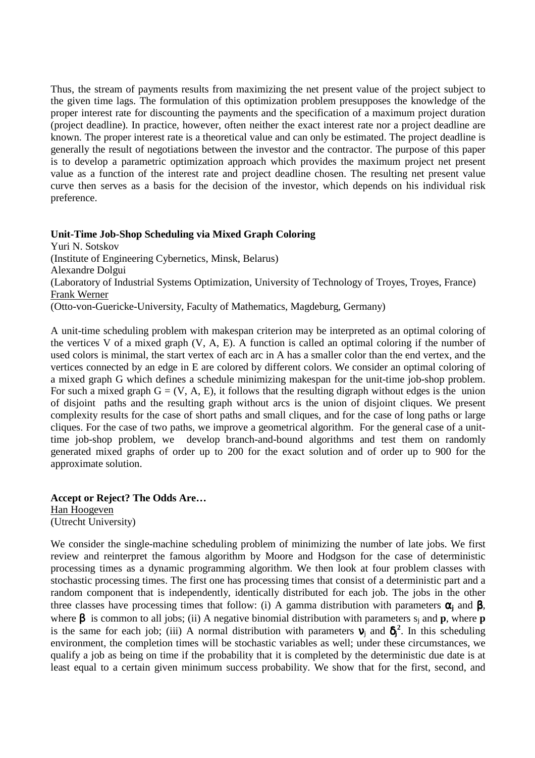Thus, the stream of payments results from maximizing the net present value of the project subject to the given time lags. The formulation of this optimization problem presupposes the knowledge of the proper interest rate for discounting the payments and the specification of a maximum project duration (project deadline). In practice, however, often neither the exact interest rate nor a project deadline are known. The proper interest rate is a theoretical value and can only be estimated. The project deadline is generally the result of negotiations between the investor and the contractor. The purpose of this paper is to develop a parametric optimization approach which provides the maximum project net present value as a function of the interest rate and project deadline chosen. The resulting net present value curve then serves as a basis for the decision of the investor, which depends on his individual risk preference.

## **Unit-Time Job-Shop Scheduling via Mixed Graph Coloring**

Yuri N. Sotskov (Institute of Engineering Cybernetics, Minsk, Belarus) Alexandre Dolgui (Laboratory of Industrial Systems Optimization, University of Technology of Troyes, Troyes, France) Frank Werner (Otto-von-Guericke-University, Faculty of Mathematics, Magdeburg, Germany)

A unit-time scheduling problem with makespan criterion may be interpreted as an optimal coloring of the vertices V of a mixed graph (V, A, E). A function is called an optimal coloring if the number of used colors is minimal, the start vertex of each arc in A has a smaller color than the end vertex, and the vertices connected by an edge in E are colored by different colors. We consider an optimal coloring of a mixed graph G which defines a schedule minimizing makespan for the unit-time job-shop problem. For such a mixed graph  $G = (V, A, E)$ , it follows that the resulting digraph without edges is the union of disjoint paths and the resulting graph without arcs is the union of disjoint cliques. We present complexity results for the case of short paths and small cliques, and for the case of long paths or large cliques. For the case of two paths, we improve a geometrical algorithm. For the general case of a unittime job-shop problem, we develop branch-and-bound algorithms and test them on randomly generated mixed graphs of order up to 200 for the exact solution and of order up to 900 for the approximate solution.

**Accept or Reject? The Odds Are…** Han Hoogeven (Utrecht University)

We consider the single-machine scheduling problem of minimizing the number of late jobs. We first review and reinterpret the famous algorithm by Moore and Hodgson for the case of deterministic processing times as a dynamic programming algorithm. We then look at four problem classes with stochastic processing times. The first one has processing times that consist of a deterministic part and a random component that is independently, identically distributed for each job. The jobs in the other three classes have processing times that follow: (i) A gamma distribution with parameters  $\alpha_i$  and  $\beta$ , where β is common to all jobs; (ii) A negative binomial distribution with parameters sj and **p**, where **p** is the same for each job; (iii) A normal distribution with parameters  $v_j$  and  $\delta_j^2$ . In this scheduling environment, the completion times will be stochastic variables as well; under these circumstances, we qualify a job as being on time if the probability that it is completed by the deterministic due date is at least equal to a certain given minimum success probability. We show that for the first, second, and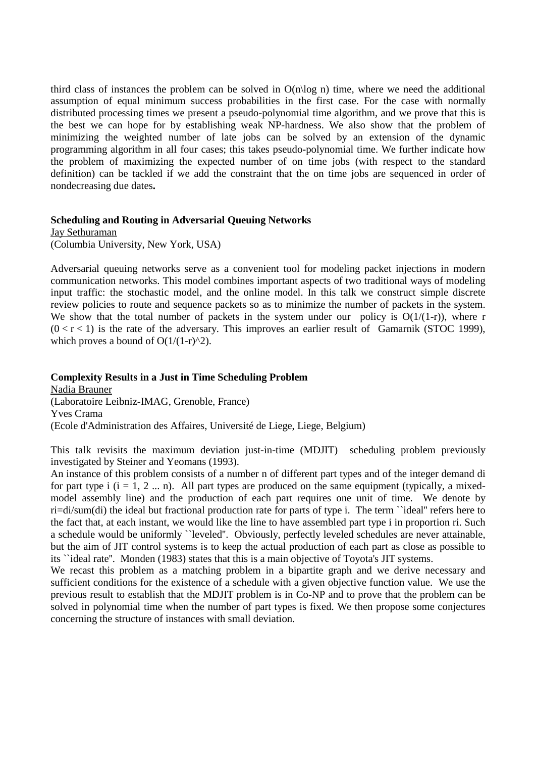third class of instances the problem can be solved in  $O(n\log n)$  time, where we need the additional assumption of equal minimum success probabilities in the first case. For the case with normally distributed processing times we present a pseudo-polynomial time algorithm, and we prove that this is the best we can hope for by establishing weak NP-hardness. We also show that the problem of minimizing the weighted number of late jobs can be solved by an extension of the dynamic programming algorithm in all four cases; this takes pseudo-polynomial time. We further indicate how the problem of maximizing the expected number of on time jobs (with respect to the standard definition) can be tackled if we add the constraint that the on time jobs are sequenced in order of nondecreasing due dates**.**

#### **Scheduling and Routing in Adversarial Queuing Networks**

Jay Sethuraman (Columbia University, New York, USA)

Adversarial queuing networks serve as a convenient tool for modeling packet injections in modern communication networks. This model combines important aspects of two traditional ways of modeling input traffic: the stochastic model, and the online model. In this talk we construct simple discrete review policies to route and sequence packets so as to minimize the number of packets in the system. We show that the total number of packets in the system under our policy is  $O(1/(1-r))$ , where r  $(0 < r < 1)$  is the rate of the adversary. This improves an earlier result of Gamarnik (STOC 1999), which proves a bound of  $O(1/(1-r)^{2})$ .

## **Complexity Results in a Just in Time Scheduling Problem**

Nadia Brauner (Laboratoire Leibniz-IMAG, Grenoble, France) Yves Crama (Ecole d'Administration des Affaires, Université de Liege, Liege, Belgium)

This talk revisits the maximum deviation just-in-time (MDJIT) scheduling problem previously investigated by Steiner and Yeomans (1993).

An instance of this problem consists of a number n of different part types and of the integer demand di for part type i  $(i = 1, 2, \ldots n)$ . All part types are produced on the same equipment (typically, a mixedmodel assembly line) and the production of each part requires one unit of time. We denote by ri=di/sum(di) the ideal but fractional production rate for parts of type i. The term ``ideal'' refers here to the fact that, at each instant, we would like the line to have assembled part type i in proportion ri. Such a schedule would be uniformly ``leveled''. Obviously, perfectly leveled schedules are never attainable, but the aim of JIT control systems is to keep the actual production of each part as close as possible to its ``ideal rate''. Monden (1983) states that this is a main objective of Toyota's JIT systems.

We recast this problem as a matching problem in a bipartite graph and we derive necessary and sufficient conditions for the existence of a schedule with a given objective function value. We use the previous result to establish that the MDJIT problem is in Co-NP and to prove that the problem can be solved in polynomial time when the number of part types is fixed. We then propose some conjectures concerning the structure of instances with small deviation.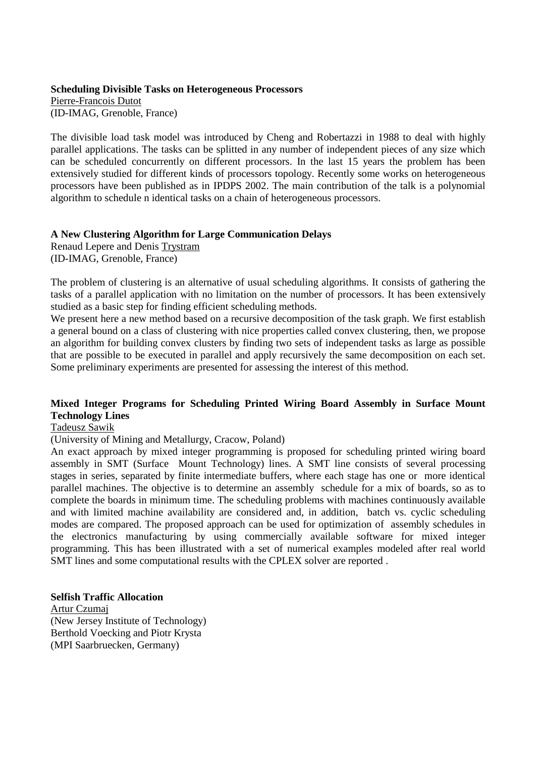## **Scheduling Divisible Tasks on Heterogeneous Processors**

Pierre-Francois Dutot (ID-IMAG, Grenoble, France)

The divisible load task model was introduced by Cheng and Robertazzi in 1988 to deal with highly parallel applications. The tasks can be splitted in any number of independent pieces of any size which can be scheduled concurrently on different processors. In the last 15 years the problem has been extensively studied for different kinds of processors topology. Recently some works on heterogeneous processors have been published as in IPDPS 2002. The main contribution of the talk is a polynomial algorithm to schedule n identical tasks on a chain of heterogeneous processors.

## **A New Clustering Algorithm for Large Communication Delays**

Renaud Lepere and Denis Trystram (ID-IMAG, Grenoble, France)

The problem of clustering is an alternative of usual scheduling algorithms. It consists of gathering the tasks of a parallel application with no limitation on the number of processors. It has been extensively studied as a basic step for finding efficient scheduling methods.

We present here a new method based on a recursive decomposition of the task graph. We first establish a general bound on a class of clustering with nice properties called convex clustering, then, we propose an algorithm for building convex clusters by finding two sets of independent tasks as large as possible that are possible to be executed in parallel and apply recursively the same decomposition on each set. Some preliminary experiments are presented for assessing the interest of this method.

## **Mixed Integer Programs for Scheduling Printed Wiring Board Assembly in Surface Mount Technology Lines**

## Tadeusz Sawik

(University of Mining and Metallurgy, Cracow, Poland)

An exact approach by mixed integer programming is proposed for scheduling printed wiring board assembly in SMT (Surface Mount Technology) lines. A SMT line consists of several processing stages in series, separated by finite intermediate buffers, where each stage has one or more identical parallel machines. The objective is to determine an assembly schedule for a mix of boards, so as to complete the boards in minimum time. The scheduling problems with machines continuously available and with limited machine availability are considered and, in addition, batch vs. cyclic scheduling modes are compared. The proposed approach can be used for optimization of assembly schedules in the electronics manufacturing by using commercially available software for mixed integer programming. This has been illustrated with a set of numerical examples modeled after real world SMT lines and some computational results with the CPLEX solver are reported .

## **Selfish Traffic Allocation**

Artur Czumaj (New Jersey Institute of Technology) Berthold Voecking and Piotr Krysta (MPI Saarbruecken, Germany)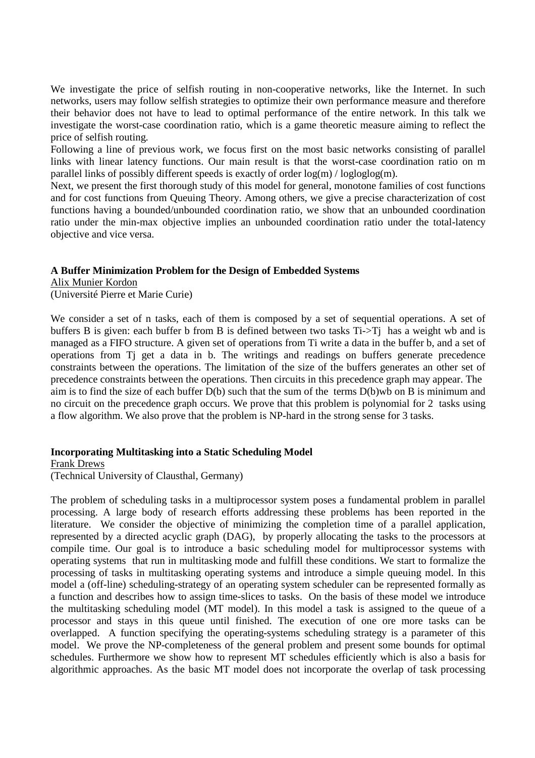We investigate the price of selfish routing in non-cooperative networks, like the Internet. In such networks, users may follow selfish strategies to optimize their own performance measure and therefore their behavior does not have to lead to optimal performance of the entire network. In this talk we investigate the worst-case coordination ratio, which is a game theoretic measure aiming to reflect the price of selfish routing.

Following a line of previous work, we focus first on the most basic networks consisting of parallel links with linear latency functions. Our main result is that the worst-case coordination ratio on m parallel links of possibly different speeds is exactly of order log(m) / logloglog(m).

Next, we present the first thorough study of this model for general, monotone families of cost functions and for cost functions from Queuing Theory. Among others, we give a precise characterization of cost functions having a bounded/unbounded coordination ratio, we show that an unbounded coordination ratio under the min-max objective implies an unbounded coordination ratio under the total-latency objective and vice versa.

## **A Buffer Minimization Problem for the Design of Embedded Systems**

Alix Munier Kordon (Université Pierre et Marie Curie)

We consider a set of n tasks, each of them is composed by a set of sequential operations. A set of buffers B is given: each buffer b from B is defined between two tasks Ti->Tj has a weight wb and is managed as a FIFO structure. A given set of operations from Ti write a data in the buffer b, and a set of operations from Tj get a data in b. The writings and readings on buffers generate precedence constraints between the operations. The limitation of the size of the buffers generates an other set of precedence constraints between the operations. Then circuits in this precedence graph may appear. The aim is to find the size of each buffer D(b) such that the sum of the terms D(b)wb on B is minimum and no circuit on the precedence graph occurs. We prove that this problem is polynomial for 2 tasks using a flow algorithm. We also prove that the problem is NP-hard in the strong sense for 3 tasks.

#### **Incorporating Multitasking into a Static Scheduling Model**

Frank Drews (Technical University of Clausthal, Germany)

The problem of scheduling tasks in a multiprocessor system poses a fundamental problem in parallel processing. A large body of research efforts addressing these problems has been reported in the literature. We consider the objective of minimizing the completion time of a parallel application, represented by a directed acyclic graph (DAG), by properly allocating the tasks to the processors at compile time. Our goal is to introduce a basic scheduling model for multiprocessor systems with operating systems that run in multitasking mode and fulfill these conditions. We start to formalize the processing of tasks in multitasking operating systems and introduce a simple queuing model. In this model a (off-line) scheduling-strategy of an operating system scheduler can be represented formally as a function and describes how to assign time-slices to tasks. On the basis of these model we introduce the multitasking scheduling model (MT model). In this model a task is assigned to the queue of a processor and stays in this queue until finished. The execution of one ore more tasks can be overlapped. A function specifying the operating-systems scheduling strategy is a parameter of this model. We prove the NP-completeness of the general problem and present some bounds for optimal schedules. Furthermore we show how to represent MT schedules efficiently which is also a basis for algorithmic approaches. As the basic MT model does not incorporate the overlap of task processing